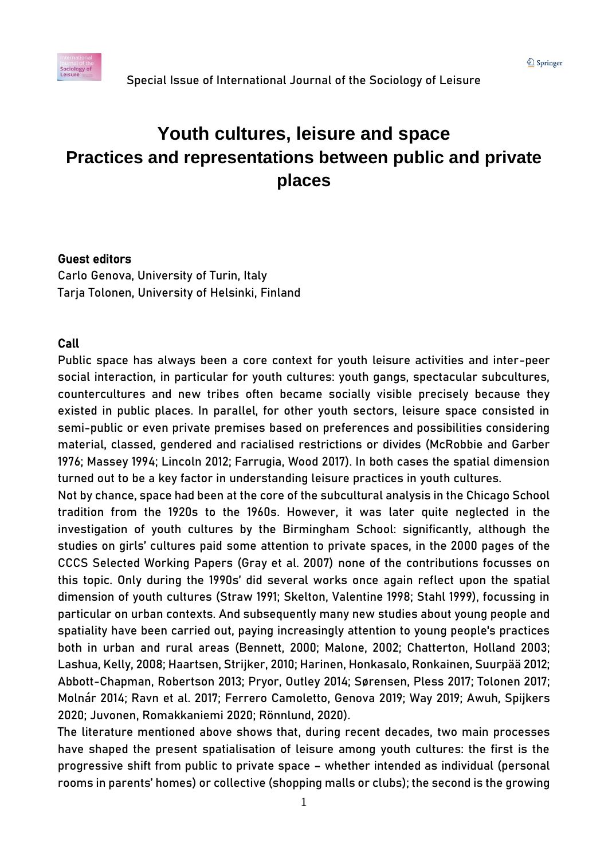# **Youth cultures, leisure and space Practices and representations between public and private places**

### Guest editors

Carlo Genova, University of Turin, Italy Tarja Tolonen, University of Helsinki, Finland

### Call

Public space has always been a core context for youth leisure activities and inter-peer social interaction, in particular for youth cultures: youth gangs, spectacular subcultures, countercultures and new tribes often became socially visible precisely because they existed in public places. In parallel, for other youth sectors, leisure space consisted in semi-public or even private premises based on preferences and possibilities considering material, classed, gendered and racialised restrictions or divides (McRobbie and Garber 1976; Massey 1994; Lincoln 2012; Farrugia, Wood 2017). In both cases the spatial dimension turned out to be a key factor in understanding leisure practices in youth cultures.

Not by chance, space had been at the core of the subcultural analysis in the Chicago School tradition from the 1920s to the 1960s. However, it was later quite neglected in the investigation of youth cultures by the Birmingham School: significantly, although the studies on girls' cultures paid some attention to private spaces, in the 2000 pages of the CCCS Selected Working Papers (Gray et al. 2007) none of the contributions focusses on this topic. Only during the 1990s' did several works once again reflect upon the spatial dimension of youth cultures (Straw 1991; Skelton, Valentine 1998; Stahl 1999), focussing in particular on urban contexts. And subsequently many new studies about young people and spatiality have been carried out, paying increasingly attention to young people's practices both in urban and rural areas (Bennett, 2000; Malone, 2002; Chatterton, Holland 2003; Lashua, Kelly, 2008; Haartsen, Strijker, 2010; Harinen, Honkasalo, Ronkainen, Suurpää 2012; Abbott-Chapman, Robertson 2013; Pryor, Outley 2014; Sørensen, Pless 2017; Tolonen 2017; Molnár 2014; Ravn et al. 2017; Ferrero Camoletto, Genova 2019; Way 2019; Awuh, Spijkers 2020; Juvonen, Romakkaniemi 2020; Rönnlund, 2020).

The literature mentioned above shows that, during recent decades, two main processes have shaped the present spatialisation of leisure among youth cultures: the first is the progressive shift from public to private space – whether intended as individual (personal rooms in parents' homes) or collective (shopping malls or clubs); the second is the growing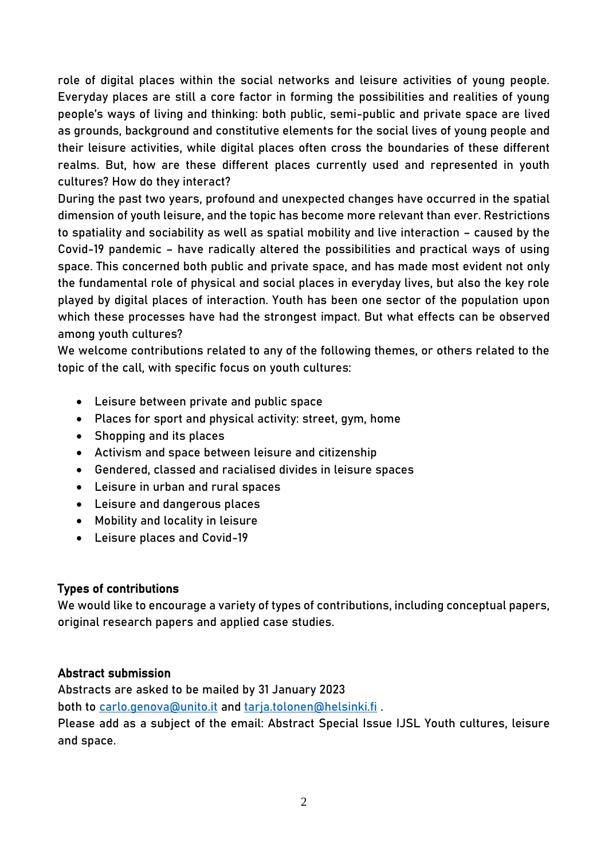role of digital places within the social networks and leisure activities of young people. Everyday places are still a core factor in forming the possibilities and realities of young people's ways of living and thinking: both public, semi-public and private space are lived as grounds, background and constitutive elements for the social lives of young people and their leisure activities, while digital places often cross the boundaries of these different realms. But, how are these different places currently used and represented in youth cultures? How do they interact?

During the past two years, profound and unexpected changes have occurred in the spatial dimension of youth leisure, and the topic has become more relevant than ever. Restrictions to spatiality and sociability as well as spatial mobility and live interaction – caused by the Covid-19 pandemic – have radically altered the possibilities and practical ways of using space. This concerned both public and private space, and has made most evident not only the fundamental role of physical and social places in everyday lives, but also the key role played by digital places of interaction. Youth has been one sector of the population upon which these processes have had the strongest impact. But what effects can be observed among youth cultures?

We welcome contributions related to any of the following themes, or others related to the topic of the call, with specific focus on youth cultures:

- Leisure between private and public space
- Places for sport and physical activity: street, gym, home
- Shopping and its places
- Activism and space between leisure and citizenship
- Gendered, classed and racialised divides in leisure spaces
- Leisure in urban and rural spaces
- Leisure and dangerous places
- Mobility and locality in leisure
- Leisure places and Covid-19

# Types of contributions

We would like to encourage a variety of types of contributions, including conceptual papers, original research papers and applied case studies.

# Abstract submission

Abstracts are asked to be mailed by 31 January 2023 both to [carlo.genova@unito.it](mailto:carlo.genova@unito.it) and [tarja.tolonen@helsinki.fi](mailto:tarja.tolonen@helsinki.fi) . Please add as a subject of the email: Abstract Special Issue IJSL Youth cultures, leisure and space.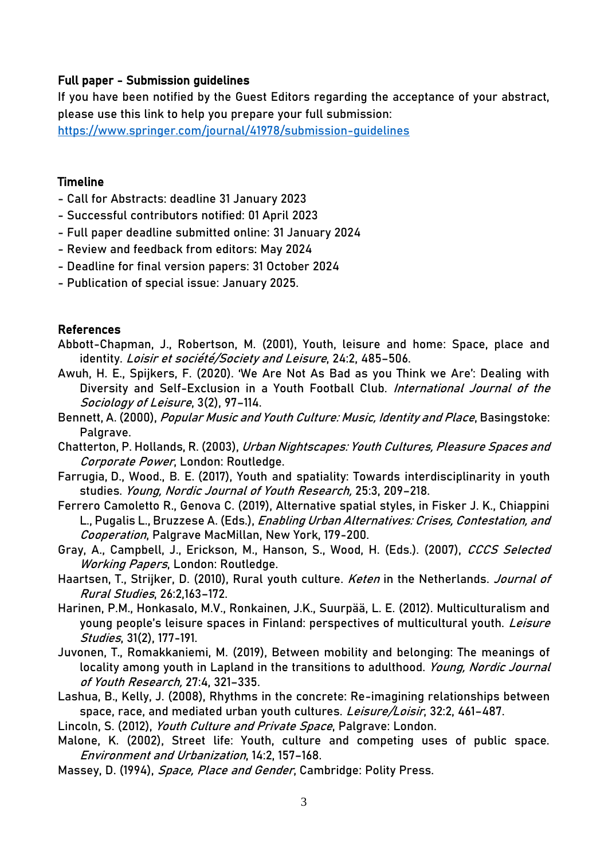# Full paper - Submission guidelines

If you have been notified by the Guest Editors regarding the acceptance of your abstract, please use this link to help you prepare your full submission:

<https://www.springer.com/journal/41978/submission-guidelines>

#### Timeline

- Call for Abstracts: deadline 31 January 2023
- Successful contributors notified: 01 April 2023
- Full paper deadline submitted online: 31 January 2024
- Review and feedback from editors: May 2024
- Deadline for final version papers: 31 October 2024
- Publication of special issue: January 2025.

### References

- Abbott-Chapman, J., Robertson, M. (2001), Youth, leisure and home: Space, place and identity. Loisir et société/Society and Leisure, 24:2, 485-506.
- Awuh, H. E., Spijkers, F. (2020). 'We Are Not As Bad as you Think we Are': Dealing with Diversity and Self-Exclusion in a Youth Football Club. International Journal of the Sociology of Leisure, 3(2), 97–114.
- Bennett, A. (2000), Popular Music and Youth Culture: Music, Identity and Place, Basingstoke: Palgrave.
- Chatterton, P. Hollands, R. (2003), Urban Nightscapes: Youth Cultures, Pleasure Spaces and Corporate Power, London: Routledge.
- Farrugia, D., Wood., B. E. (2017), Youth and spatiality: Towards interdisciplinarity in youth studies. Young, Nordic Journal of Youth Research, 25:3, 209–218.
- Ferrero Camoletto R., Genova C. (2019), Alternative spatial styles, in Fisker J. K., Chiappini L., Pugalis L., Bruzzese A. (Eds.), *Enabling Urban Alternatives: Crises, Contestation, and* Cooperation, Palgrave MacMillan, New York, 179-200.
- Gray, A., Campbell, J., Erickson, M., Hanson, S., Wood, H. (Eds.). (2007), CCCS Selected Working Papers, London: Routledge.
- Haartsen, T., Strijker, D. (2010), Rural youth culture. Keten in the Netherlands. Journal of Rural Studies, 26:2,163–172.
- Harinen, P.M., Honkasalo, M.V., Ronkainen, J.K., Suurpää, L. E. (2012). Multiculturalism and young people's leisure spaces in Finland: perspectives of multicultural youth. Leisure Studies, 31(2), 177-191.
- Juvonen, T., Romakkaniemi, M. (2019), Between mobility and belonging: The meanings of locality among youth in Lapland in the transitions to adulthood. Young, Nordic Journal of Youth Research, 27:4, 321–335.
- Lashua, B., Kelly, J. (2008), Rhythms in the concrete: Re-imagining relationships between space, race, and mediated urban youth cultures. Leisure/Loisir, 32:2, 461-487.
- Lincoln, S. (2012), *Youth Culture and Private Space*, Palgrave: London.
- Malone, K. (2002), Street life: Youth, culture and competing uses of public space. Environment and Urbanization, 14:2, 157–168.
- Massey, D. (1994), *Space, Place and Gender*, Cambridge: Polity Press.